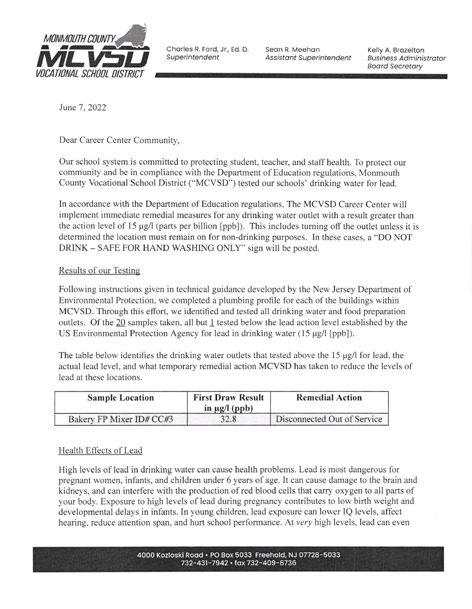

Superintendent

Seon R. Meehon Assistant Superintendent

Kelly A. Brozelton **Business Administrator** Boord Secretory

June 7, 2022

Dear Career Center Community,

Our school system is committed to protecting student, teacher, and staff health, To protect our community and be in compliance with the Department of Education regulations, Monmouth County Vocational School District ("MCVSD") tested our schools' drinking water for lead.

In accordance with the Department of Education regulations, The MCVSD Career Center will implement immediate remedial measures for any drinking water outlet with a result greater than the action level of l5 pg/l (parts per billion [ppb]). This includes tuming off the outlet unless it is determined the location must remain on for non-drinking purposes. In these cases, a "DO NOT DRINK - SAFE FOR HAND WASHING ONLY" sign will be posted.

# Results of our Testins

Following instructions given in technical guidance developed by the New Jersey Department of Environmental Protection, we completed a plumbing profile for each of the buildings within MCVSD. Through this effort, we identified and tested all drinking water and food preparation outlets. Of the 20 samples taken, all but I tested below the lead action level established by the US Environmental Protection Agency for lead in drinking water  $(15 \mu g/l$  [ppb]).

The table below identifies the drinking water outlets that tested above the  $15 \mu g/l$  for lead, the actual lead level, and what temporary remedial action MCVSD has taken to reduce the levels of lead at these locations.

| <b>Sample Location</b>   | <b>First Draw Result</b><br>in $\mu$ g/l (ppb) | <b>Remedial Action</b>      |
|--------------------------|------------------------------------------------|-----------------------------|
| Bakery FP Mixer ID# CC#3 | 32.8                                           | Disconnected Out of Service |

# Health Effects of Lead

High levels of lead in drinking water can cause health problems. Lead is most dangerous for pregnant women, infants, and children under 6 years of age. It can cause damage to the brain and kidneys, and can interfere with the production of red blood cells that carry oxygen to all parts of your body. Exposure to high levels of lead during pregnancy contributes to low birth weight and developmental delays in infants. In young children, lead exposure can lower IQ levels, affect hearing, reduce attention span, and hurt school performance. At very high levels, lead can even